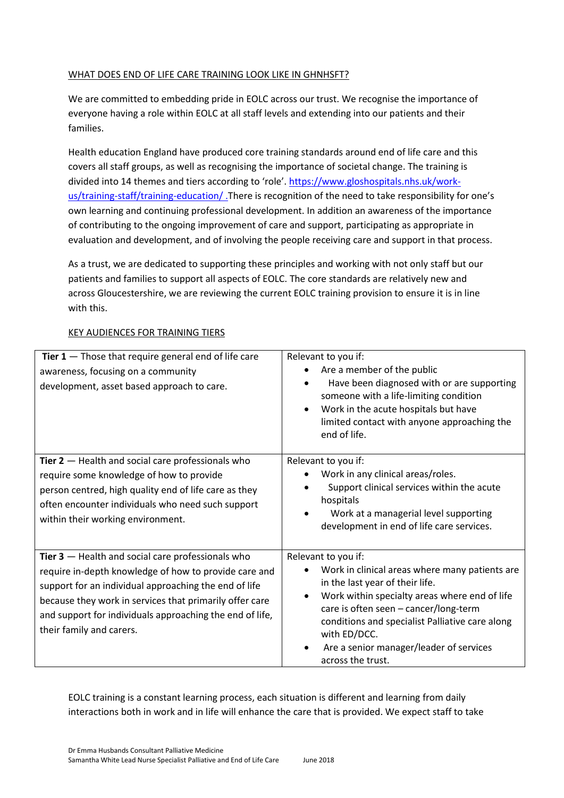### WHAT DOES END OF LIFE CARE TRAINING LOOK LIKE IN GHNHSFT?

We are committed to embedding pride in EOLC across our trust. We recognise the importance of everyone having a role within EOLC at all staff levels and extending into our patients and their families.

Health education England have produced core training standards around end of life care and this covers all staff groups, as well as recognising the importance of societal change. The training is divided into 14 themes and tiers according to 'role'. [https://www.gloshospitals.nhs.uk/work](https://www.gloshospitals.nhs.uk/work-us/training-staff/training-education/)[us/training-staff/training-education/](https://www.gloshospitals.nhs.uk/work-us/training-staff/training-education/) .There is recognition of the need to take responsibility for one's own learning and continuing professional development. In addition an awareness of the importance of contributing to the ongoing improvement of care and support, participating as appropriate in evaluation and development, and of involving the people receiving care and support in that process.

As a trust, we are dedicated to supporting these principles and working with not only staff but our patients and families to support all aspects of EOLC. The core standards are relatively new and across Gloucestershire, we are reviewing the current EOLC training provision to ensure it is in line with this.

| Tier $1$ – Those that require general end of life care<br>awareness, focusing on a community<br>development, asset based approach to care.                                                                                                                                                                               | Relevant to you if:<br>Are a member of the public<br>Have been diagnosed with or are supporting<br>someone with a life-limiting condition<br>Work in the acute hospitals but have<br>limited contact with anyone approaching the<br>end of life.                                                                                      |
|--------------------------------------------------------------------------------------------------------------------------------------------------------------------------------------------------------------------------------------------------------------------------------------------------------------------------|---------------------------------------------------------------------------------------------------------------------------------------------------------------------------------------------------------------------------------------------------------------------------------------------------------------------------------------|
| Tier $2$ – Health and social care professionals who<br>require some knowledge of how to provide<br>person centred, high quality end of life care as they<br>often encounter individuals who need such support<br>within their working environment.                                                                       | Relevant to you if:<br>Work in any clinical areas/roles.<br>Support clinical services within the acute<br>hospitals<br>Work at a managerial level supporting<br>development in end of life care services.                                                                                                                             |
| Tier $3$ - Health and social care professionals who<br>require in-depth knowledge of how to provide care and<br>support for an individual approaching the end of life<br>because they work in services that primarily offer care<br>and support for individuals approaching the end of life,<br>their family and carers. | Relevant to you if:<br>Work in clinical areas where many patients are<br>in the last year of their life.<br>Work within specialty areas where end of life<br>care is often seen - cancer/long-term<br>conditions and specialist Palliative care along<br>with ED/DCC.<br>Are a senior manager/leader of services<br>across the trust. |

# KEY AUDIENCES FOR TRAINING TIERS

EOLC training is a constant learning process, each situation is different and learning from daily interactions both in work and in life will enhance the care that is provided. We expect staff to take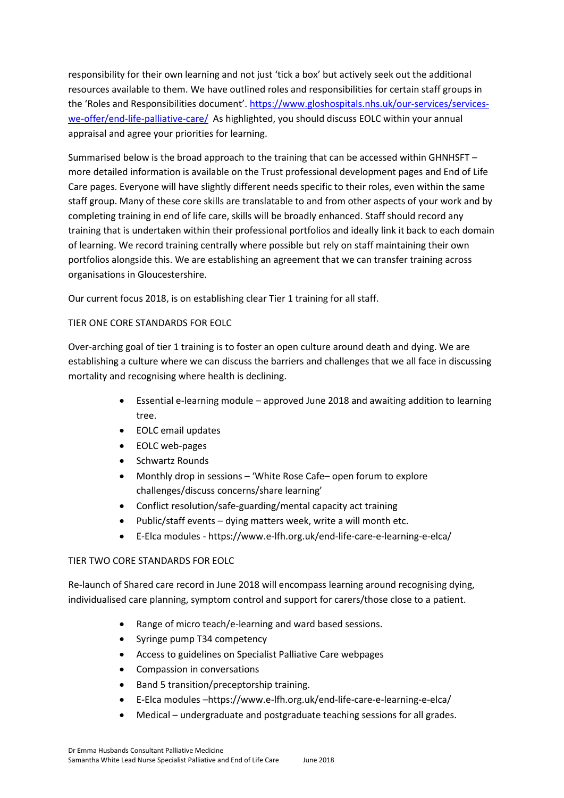responsibility for their own learning and not just 'tick a box' but actively seek out the additional resources available to them. We have outlined roles and responsibilities for certain staff groups in the 'Roles and Responsibilities document'. [https://www.gloshospitals.nhs.uk/our-services/services](https://www.gloshospitals.nhs.uk/our-services/services-we-offer/end-life-palliative-care/)[we-offer/end-life-palliative-care/](https://www.gloshospitals.nhs.uk/our-services/services-we-offer/end-life-palliative-care/) As highlighted, you should discuss EOLC within your annual appraisal and agree your priorities for learning.

Summarised below is the broad approach to the training that can be accessed within GHNHSFT – more detailed information is available on the Trust professional development pages and End of Life Care pages. Everyone will have slightly different needs specific to their roles, even within the same staff group. Many of these core skills are translatable to and from other aspects of your work and by completing training in end of life care, skills will be broadly enhanced. Staff should record any training that is undertaken within their professional portfolios and ideally link it back to each domain of learning. We record training centrally where possible but rely on staff maintaining their own portfolios alongside this. We are establishing an agreement that we can transfer training across organisations in Gloucestershire.

Our current focus 2018, is on establishing clear Tier 1 training for all staff.

### TIER ONE CORE STANDARDS FOR EOLC

Over-arching goal of tier 1 training is to foster an open culture around death and dying. We are establishing a culture where we can discuss the barriers and challenges that we all face in discussing mortality and recognising where health is declining.

- Essential e-learning module approved June 2018 and awaiting addition to learning tree.
- EOLC email updates
- EOLC web-pages
- Schwartz Rounds
- Monthly drop in sessions 'White Rose Cafe– open forum to explore challenges/discuss concerns/share learning'
- Conflict resolution/safe-guarding/mental capacity act training
- Public/staff events dying matters week, write a will month etc.
- E-Elca modules https://www.e-lfh.org.uk/end-life-care-e-learning-e-elca/

# TIER TWO CORE STANDARDS FOR EOLC

Re-launch of Shared care record in June 2018 will encompass learning around recognising dying, individualised care planning, symptom control and support for carers/those close to a patient.

- Range of micro teach/e-learning and ward based sessions.
- Syringe pump T34 competency
- Access to guidelines on Specialist Palliative Care webpages
- Compassion in conversations
- Band 5 transition/preceptorship training.
- E-Elca modules –https://www.e-lfh.org.uk/end-life-care-e-learning-e-elca/
- Medical undergraduate and postgraduate teaching sessions for all grades.